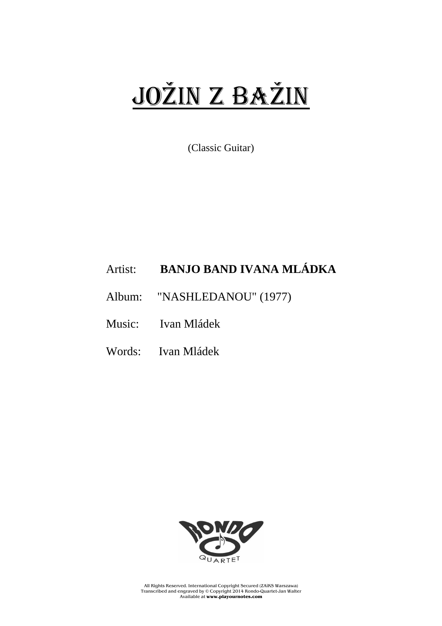## JOŽin z BAŽin

(Classic Guitar)

## Artist: **BANJO BAND IVANA MLÁDKA**

Album: "NASHLEDANOU" (1977)

Music: Ivan Mládek

Words: Ivan Mládek



All Rights Reserved. International Copyright Secured (ZAiKS Warszawa) Transcribed and engraved by © Copyright 2014 Rondo-Quartet-Jan Walter Available at **www.playournotes.com**